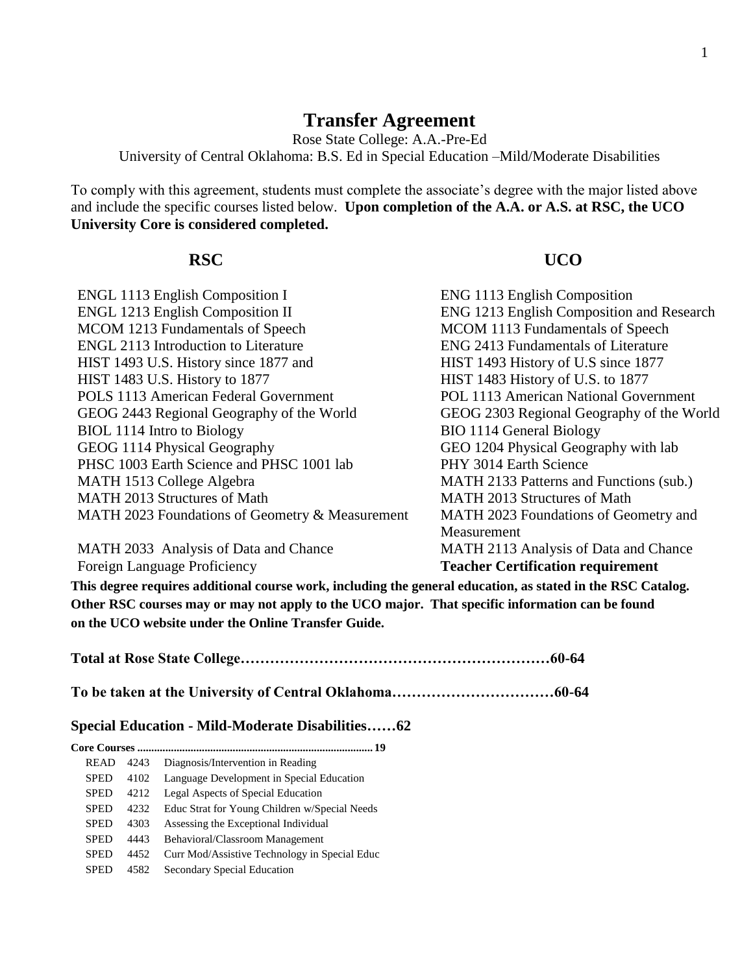# **Transfer Agreement**

Rose State College: A.A.-Pre-Ed University of Central Oklahoma: B.S. Ed in Special Education –Mild/Moderate Disabilities

To comply with this agreement, students must complete the associate's degree with the major listed above and include the specific courses listed below. **Upon completion of the A.A. or A.S. at RSC, the UCO University Core is considered completed.**

## **RSC UCO**

| <b>ENGL 1113 English Composition I</b>          | <b>ENG 1113 English Composition</b>       |
|-------------------------------------------------|-------------------------------------------|
| <b>ENGL 1213 English Composition II</b>         | ENG 1213 English Composition and Research |
| MCOM 1213 Fundamentals of Speech                | MCOM 1113 Fundamentals of Speech          |
| <b>ENGL 2113 Introduction to Literature</b>     | ENG 2413 Fundamentals of Literature       |
| HIST 1493 U.S. History since 1877 and           | HIST 1493 History of U.S since 1877       |
| HIST 1483 U.S. History to 1877                  | HIST 1483 History of U.S. to 1877         |
| POLS 1113 American Federal Government           | POL 1113 American National Government     |
| GEOG 2443 Regional Geography of the World       | GEOG 2303 Regional Geography of the World |
| BIOL 1114 Intro to Biology                      | <b>BIO 1114 General Biology</b>           |
| GEOG 1114 Physical Geography                    | GEO 1204 Physical Geography with lab      |
| PHSC 1003 Earth Science and PHSC 1001 lab       | PHY 3014 Earth Science                    |
| MATH 1513 College Algebra                       | MATH 2133 Patterns and Functions (sub.)   |
| MATH 2013 Structures of Math                    | <b>MATH 2013 Structures of Math</b>       |
| MATH 2023 Foundations of Geometry & Measurement | MATH 2023 Foundations of Geometry and     |
|                                                 | Measurement                               |
| MATH 2033 Analysis of Data and Chance           | MATH 2113 Analysis of Data and Chance     |
| Foreign Language Proficiency                    | <b>Teacher Certification requirement</b>  |

**This degree requires additional course work, including the general education, as stated in the RSC Catalog. Other RSC courses may or may not apply to the UCO major. That specific information can be found on the UCO website under the Online Transfer Guide.**

|--|--|

**To be taken at the University of Central Oklahoma……………………………60-64**

## **Special Education - Mild-Moderate Disabilities……62**

| . 19        |      |                                               |
|-------------|------|-----------------------------------------------|
| <b>READ</b> | 4243 | Diagnosis/Intervention in Reading             |
| <b>SPED</b> | 4102 | Language Development in Special Education     |
| <b>SPED</b> | 4212 | Legal Aspects of Special Education            |
| <b>SPED</b> | 4232 | Educ Strat for Young Children w/Special Needs |
| <b>SPED</b> | 4303 | Assessing the Exceptional Individual          |
| <b>SPED</b> | 4443 | Behavioral/Classroom Management               |
| <b>SPED</b> | 4452 | Curr Mod/Assistive Technology in Special Educ |
| SPED        | 4582 | Secondary Special Education                   |